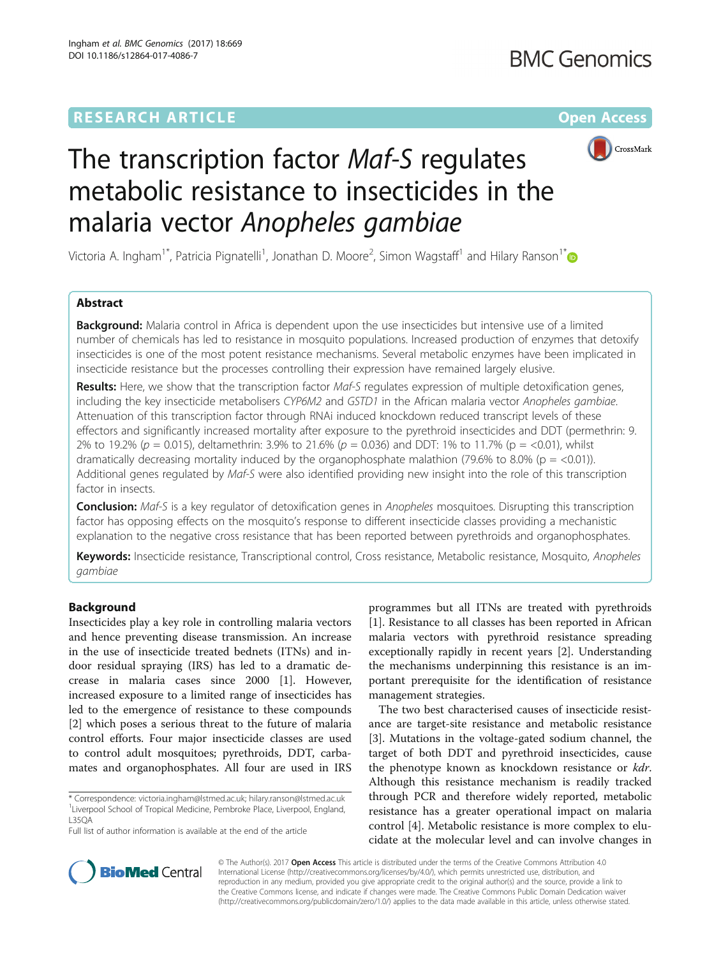# **RESEARCH ARTICLE External Structure Community Community Community Community Community Community Community Community**



# The transcription factor Maf-S regulates metabolic resistance to insecticides in the malaria vector Anopheles gambiae

Victoria A. Ingham<sup>1\*</sup>, Patricia Pignatelli<sup>1</sup>, Jonathan D. Moore<sup>2</sup>, Simon Wagstaff<sup>1</sup> and Hilary Ranson<sup>1\*</sup>

# Abstract

**Background:** Malaria control in Africa is dependent upon the use insecticides but intensive use of a limited number of chemicals has led to resistance in mosquito populations. Increased production of enzymes that detoxify insecticides is one of the most potent resistance mechanisms. Several metabolic enzymes have been implicated in insecticide resistance but the processes controlling their expression have remained largely elusive.

Results: Here, we show that the transcription factor Maf-S regulates expression of multiple detoxification genes, including the key insecticide metabolisers CYP6M2 and GSTD1 in the African malaria vector Anopheles gambiae. Attenuation of this transcription factor through RNAi induced knockdown reduced transcript levels of these effectors and significantly increased mortality after exposure to the pyrethroid insecticides and DDT (permethrin: 9. 2% to 19.2% ( $p = 0.015$ ), deltamethrin: 3.9% to 21.6% ( $p = 0.036$ ) and DDT: 1% to 11.7% ( $p = 0.01$ ), whilst dramatically decreasing mortality induced by the organophosphate malathion (79.6% to 8.0% ( $p =$  <0.01)). Additional genes regulated by Maf-S were also identified providing new insight into the role of this transcription factor in insects.

**Conclusion:** Maf-S is a key regulator of detoxification genes in Anopheles mosquitoes. Disrupting this transcription factor has opposing effects on the mosquito's response to different insecticide classes providing a mechanistic explanation to the negative cross resistance that has been reported between pyrethroids and organophosphates.

Keywords: Insecticide resistance, Transcriptional control, Cross resistance, Metabolic resistance, Mosquito, Anopheles gambiae

# Background

Insecticides play a key role in controlling malaria vectors and hence preventing disease transmission. An increase in the use of insecticide treated bednets (ITNs) and indoor residual spraying (IRS) has led to a dramatic decrease in malaria cases since 2000 [[1\]](#page-8-0). However, increased exposure to a limited range of insecticides has led to the emergence of resistance to these compounds [[2\]](#page-8-0) which poses a serious threat to the future of malaria control efforts. Four major insecticide classes are used to control adult mosquitoes; pyrethroids, DDT, carbamates and organophosphates. All four are used in IRS

\* Correspondence: [victoria.ingham@lstmed.ac.uk](mailto:victoria.ingham@lstmed.ac.uk); [hilary.ranson@lstmed.ac.uk](mailto:hilary.ranson@lstmed.ac.uk) <sup>1</sup> <sup>1</sup> Liverpool School of Tropical Medicine, Pembroke Place, Liverpool, England, L35QA

programmes but all ITNs are treated with pyrethroids [[1\]](#page-8-0). Resistance to all classes has been reported in African malaria vectors with pyrethroid resistance spreading exceptionally rapidly in recent years [[2\]](#page-8-0). Understanding the mechanisms underpinning this resistance is an important prerequisite for the identification of resistance management strategies.

The two best characterised causes of insecticide resistance are target-site resistance and metabolic resistance [[3\]](#page-8-0). Mutations in the voltage-gated sodium channel, the target of both DDT and pyrethroid insecticides, cause the phenotype known as knockdown resistance or kdr. Although this resistance mechanism is readily tracked through PCR and therefore widely reported, metabolic resistance has a greater operational impact on malaria control [\[4](#page-8-0)]. Metabolic resistance is more complex to elucidate at the molecular level and can involve changes in



© The Author(s). 2017 **Open Access** This article is distributed under the terms of the Creative Commons Attribution 4.0 International License [\(http://creativecommons.org/licenses/by/4.0/](http://creativecommons.org/licenses/by/4.0/)), which permits unrestricted use, distribution, and reproduction in any medium, provided you give appropriate credit to the original author(s) and the source, provide a link to the Creative Commons license, and indicate if changes were made. The Creative Commons Public Domain Dedication waiver [\(http://creativecommons.org/publicdomain/zero/1.0/](http://creativecommons.org/publicdomain/zero/1.0/)) applies to the data made available in this article, unless otherwise stated.

Full list of author information is available at the end of the article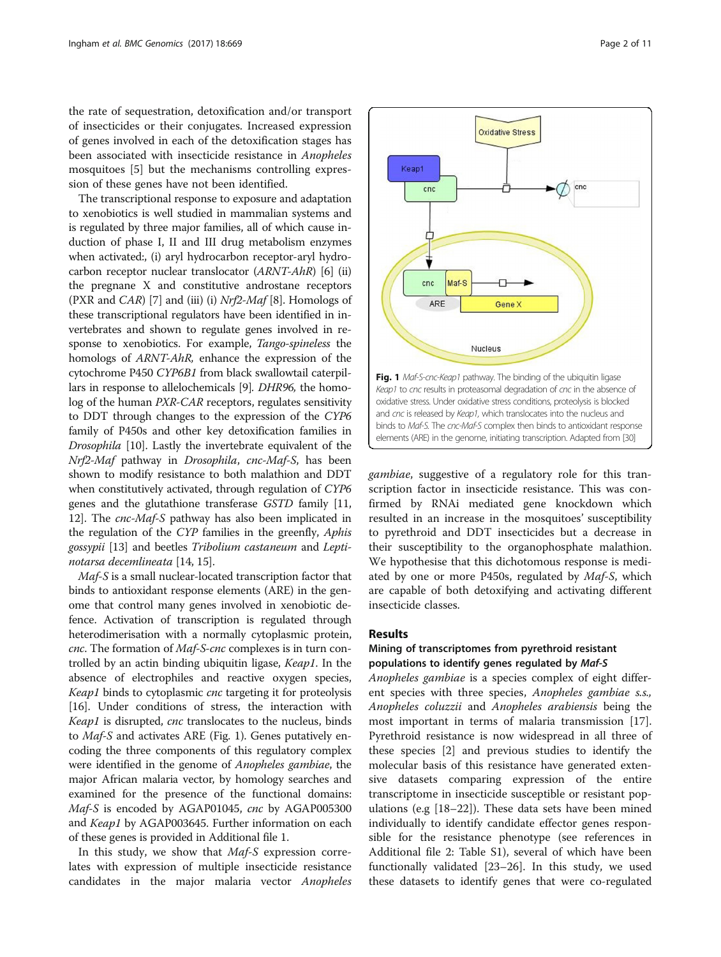the rate of sequestration, detoxification and/or transport of insecticides or their conjugates. Increased expression of genes involved in each of the detoxification stages has been associated with insecticide resistance in Anopheles mosquitoes [[5](#page-8-0)] but the mechanisms controlling expression of these genes have not been identified.

The transcriptional response to exposure and adaptation to xenobiotics is well studied in mammalian systems and is regulated by three major families, all of which cause induction of phase I, II and III drug metabolism enzymes when activated:, (i) aryl hydrocarbon receptor-aryl hydrocarbon receptor nuclear translocator (ARNT-AhR) [[6\]](#page-8-0) (ii) the pregnane X and constitutive androstane receptors (PXR and CAR) [\[7](#page-8-0)] and (iii) (i)  $Nrf2-Maf$  [[8\]](#page-8-0). Homologs of these transcriptional regulators have been identified in invertebrates and shown to regulate genes involved in response to xenobiotics. For example, Tango-spineless the homologs of ARNT-AhR, enhance the expression of the cytochrome P450 CYP6B1 from black swallowtail caterpillars in response to allelochemicals [\[9](#page-8-0)]. DHR96, the homolog of the human PXR-CAR receptors, regulates sensitivity to DDT through changes to the expression of the CYP6 family of P450s and other key detoxification families in Drosophila [\[10\]](#page-8-0). Lastly the invertebrate equivalent of the Nrf2-Maf pathway in Drosophila, cnc-Maf-S, has been shown to modify resistance to both malathion and DDT when constitutively activated, through regulation of CYP6 genes and the glutathione transferase GSTD family [[11](#page-9-0), [12](#page-9-0)]. The *cnc-Maf-S* pathway has also been implicated in the regulation of the CYP families in the greenfly, Aphis gossypii [\[13\]](#page-9-0) and beetles Tribolium castaneum and Leptinotarsa decemlineata [\[14](#page-9-0), [15](#page-9-0)].

Maf-S is a small nuclear-located transcription factor that binds to antioxidant response elements (ARE) in the genome that control many genes involved in xenobiotic defence. Activation of transcription is regulated through heterodimerisation with a normally cytoplasmic protein, cnc. The formation of Maf-S-cnc complexes is in turn controlled by an actin binding ubiquitin ligase, Keap1. In the absence of electrophiles and reactive oxygen species, Keap1 binds to cytoplasmic cnc targeting it for proteolysis [[16](#page-9-0)]. Under conditions of stress, the interaction with Keap1 is disrupted, cnc translocates to the nucleus, binds to Maf-S and activates ARE (Fig. 1). Genes putatively encoding the three components of this regulatory complex were identified in the genome of Anopheles gambiae, the major African malaria vector, by homology searches and examined for the presence of the functional domains: Maf-S is encoded by AGAP01045, cnc by AGAP005300 and Keap1 by AGAP003645. Further information on each of these genes is provided in Additional file [1.](#page-8-0)

In this study, we show that *Maf-S* expression correlates with expression of multiple insecticide resistance candidates in the major malaria vector Anopheles



gambiae, suggestive of a regulatory role for this transcription factor in insecticide resistance. This was confirmed by RNAi mediated gene knockdown which resulted in an increase in the mosquitoes' susceptibility to pyrethroid and DDT insecticides but a decrease in their susceptibility to the organophosphate malathion. We hypothesise that this dichotomous response is mediated by one or more P450s, regulated by Maf-S, which are capable of both detoxifying and activating different insecticide classes.

#### Results

# Mining of transcriptomes from pyrethroid resistant populations to identify genes regulated by Maf-S

Anopheles gambiae is a species complex of eight different species with three species, Anopheles gambiae s.s., Anopheles coluzzii and Anopheles arabiensis being the most important in terms of malaria transmission [\[17](#page-9-0)]. Pyrethroid resistance is now widespread in all three of these species [\[2](#page-8-0)] and previous studies to identify the molecular basis of this resistance have generated extensive datasets comparing expression of the entire transcriptome in insecticide susceptible or resistant populations (e.g [[18](#page-9-0)–[22\]](#page-9-0)). These data sets have been mined individually to identify candidate effector genes responsible for the resistance phenotype (see references in Additional file [2](#page-8-0): Table S1), several of which have been functionally validated [\[23](#page-9-0)–[26\]](#page-9-0). In this study, we used these datasets to identify genes that were co-regulated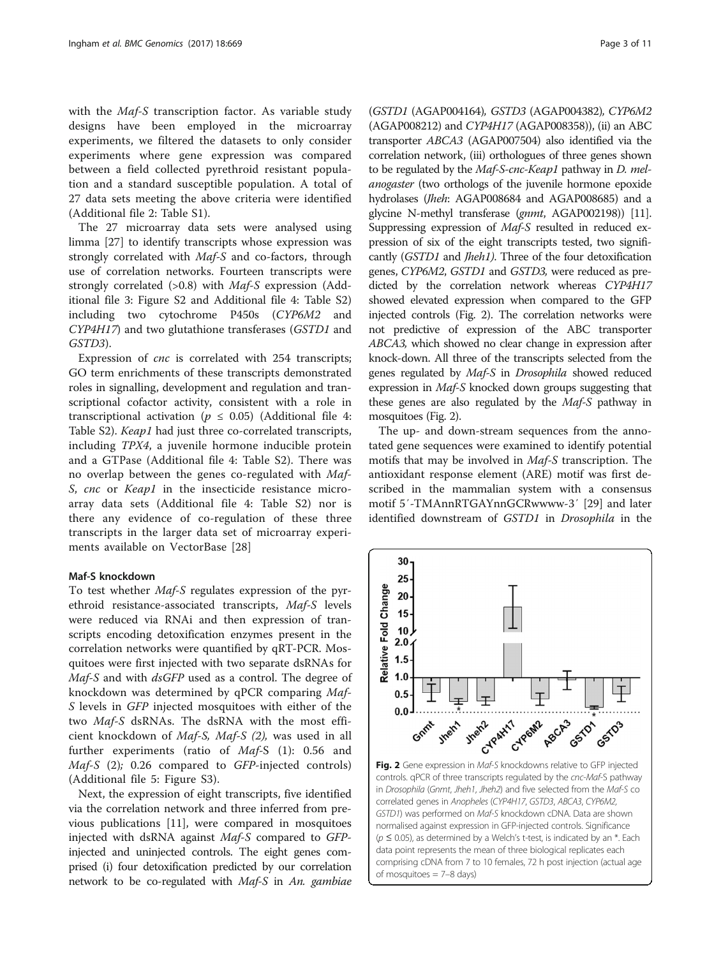<span id="page-2-0"></span>with the *Maf-S* transcription factor. As variable study designs have been employed in the microarray experiments, we filtered the datasets to only consider experiments where gene expression was compared between a field collected pyrethroid resistant population and a standard susceptible population. A total of 27 data sets meeting the above criteria were identified (Additional file [2:](#page-8-0) Table S1).

The 27 microarray data sets were analysed using limma [\[27](#page-9-0)] to identify transcripts whose expression was strongly correlated with Maf-S and co-factors, through use of correlation networks. Fourteen transcripts were strongly correlated (>0.8) with Maf-S expression (Additional file [3:](#page-8-0) Figure S2 and Additional file [4](#page-8-0): Table S2) including two cytochrome P450s (CYP6M2 and CYP4H17) and two glutathione transferases (GSTD1 and GSTD3).

Expression of cnc is correlated with 254 transcripts; GO term enrichments of these transcripts demonstrated roles in signalling, development and regulation and transcriptional cofactor activity, consistent with a role in transcriptional activation ( $p \leq 0.05$ ) (Additional file [4](#page-8-0): Table S2). *Keap1* had just three co-correlated transcripts, including TPX4, a juvenile hormone inducible protein and a GTPase (Additional file [4](#page-8-0): Table S2). There was no overlap between the genes co-regulated with Maf-S, cnc or Keap1 in the insecticide resistance microarray data sets (Additional file [4:](#page-8-0) Table S2) nor is there any evidence of co-regulation of these three transcripts in the larger data set of microarray experiments available on VectorBase [[28\]](#page-9-0)

#### Maf-S knockdown

To test whether Maf-S regulates expression of the pyrethroid resistance-associated transcripts, Maf-S levels were reduced via RNAi and then expression of transcripts encoding detoxification enzymes present in the correlation networks were quantified by qRT-PCR. Mosquitoes were first injected with two separate dsRNAs for Maf-S and with dsGFP used as a control. The degree of knockdown was determined by qPCR comparing Maf-S levels in GFP injected mosquitoes with either of the two Maf-S dsRNAs. The dsRNA with the most efficient knockdown of Maf-S, Maf-S (2), was used in all further experiments (ratio of Maf-S (1): 0.56 and Maf-S (2); 0.26 compared to GFP-injected controls) (Additional file [5:](#page-8-0) Figure S3).

Next, the expression of eight transcripts, five identified via the correlation network and three inferred from previous publications [[11\]](#page-9-0), were compared in mosquitoes injected with dsRNA against Maf-S compared to GFPinjected and uninjected controls. The eight genes comprised (i) four detoxification predicted by our correlation network to be co-regulated with Maf-S in An. gambiae

(GSTD1 (AGAP004164), GSTD3 (AGAP004382), CYP6M2 (AGAP008212) and CYP4H17 (AGAP008358)), (ii) an ABC transporter ABCA3 (AGAP007504) also identified via the correlation network, (iii) orthologues of three genes shown to be regulated by the Maf-S-cnc-Keap1 pathway in D. melanogaster (two orthologs of the juvenile hormone epoxide hydrolases (Jheh: AGAP008684 and AGAP008685) and a glycine N-methyl transferase (gnmt, AGAP002198)) [\[11](#page-9-0)]. Suppressing expression of Maf-S resulted in reduced expression of six of the eight transcripts tested, two significantly (GSTD1 and Jheh1). Three of the four detoxification genes, CYP6M2, GSTD1 and GSTD3, were reduced as predicted by the correlation network whereas CYP4H17 showed elevated expression when compared to the GFP injected controls (Fig. 2). The correlation networks were not predictive of expression of the ABC transporter ABCA3, which showed no clear change in expression after knock-down. All three of the transcripts selected from the genes regulated by Maf-S in Drosophila showed reduced expression in Maf-S knocked down groups suggesting that these genes are also regulated by the Maf-S pathway in mosquitoes (Fig. 2).

The up- and down-stream sequences from the annotated gene sequences were examined to identify potential motifs that may be involved in Maf-S transcription. The antioxidant response element (ARE) motif was first described in the mammalian system with a consensus motif 5′-TMAnnRTGAYnnGCRwwww-3′ [\[29](#page-9-0)] and later identified downstream of GSTD1 in Drosophila in the



controls. qPCR of three transcripts regulated by the cnc-Maf-S pathway in Drosophila (Gnmt, Jheh1, Jheh2) and five selected from the Maf-S co correlated genes in Anopheles (CYP4H17, GSTD3, ABCA3, CYP6M2, GSTD1) was performed on Maf-S knockdown cDNA. Data are shown normalised against expression in GFP-injected controls. Significance  $(p \le 0.05)$ , as determined by a Welch's t-test, is indicated by an \*. Each data point represents the mean of three biological replicates each comprising cDNA from 7 to 10 females, 72 h post injection (actual age of mosquitoes = 7–8 days)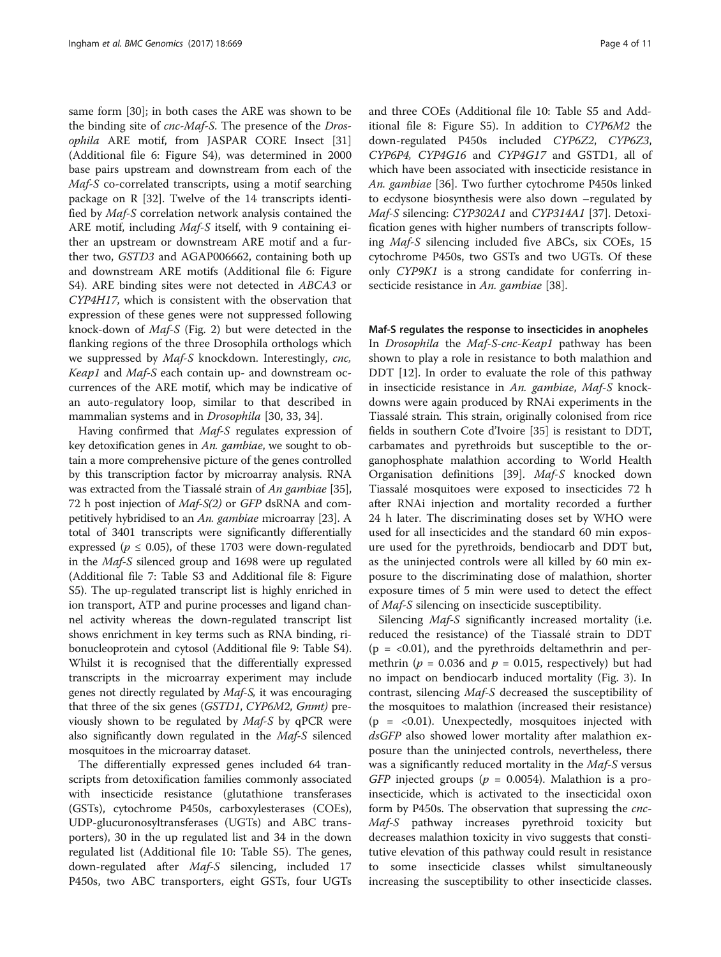same form [\[30\]](#page-9-0); in both cases the ARE was shown to be the binding site of cnc-Maf-S. The presence of the Drosophila ARE motif, from JASPAR CORE Insect [[31](#page-9-0)] (Additional file [6:](#page-8-0) Figure S4), was determined in 2000 base pairs upstream and downstream from each of the Maf-S co-correlated transcripts, using a motif searching package on R [[32\]](#page-9-0). Twelve of the 14 transcripts identified by Maf-S correlation network analysis contained the ARE motif, including *Maf-S* itself, with 9 containing either an upstream or downstream ARE motif and a further two, GSTD3 and AGAP006662, containing both up and downstream ARE motifs (Additional file [6:](#page-8-0) Figure S4). ARE binding sites were not detected in ABCA3 or CYP4H17, which is consistent with the observation that expression of these genes were not suppressed following knock-down of Maf-S (Fig. [2](#page-2-0)) but were detected in the flanking regions of the three Drosophila orthologs which we suppressed by Maf-S knockdown. Interestingly, cnc, Keap1 and Maf-S each contain up- and downstream occurrences of the ARE motif, which may be indicative of an auto-regulatory loop, similar to that described in mammalian systems and in Drosophila [[30, 33, 34](#page-9-0)].

Having confirmed that Maf-S regulates expression of key detoxification genes in An. gambiae, we sought to obtain a more comprehensive picture of the genes controlled by this transcription factor by microarray analysis. RNA was extracted from the Tiassalé strain of An gambiae [[35](#page-9-0)], 72 h post injection of Maf-S(2) or GFP dsRNA and competitively hybridised to an An. gambiae microarray [\[23\]](#page-9-0). A total of 3401 transcripts were significantly differentially expressed ( $p \le 0.05$ ), of these 1703 were down-regulated in the Maf-S silenced group and 1698 were up regulated (Additional file [7](#page-8-0): Table S3 and Additional file [8](#page-8-0): Figure S5). The up-regulated transcript list is highly enriched in ion transport, ATP and purine processes and ligand channel activity whereas the down-regulated transcript list shows enrichment in key terms such as RNA binding, ribonucleoprotein and cytosol (Additional file [9:](#page-8-0) Table S4). Whilst it is recognised that the differentially expressed transcripts in the microarray experiment may include genes not directly regulated by Maf-S, it was encouraging that three of the six genes (GSTD1, CYP6M2, Gnmt) previously shown to be regulated by Maf-S by qPCR were also significantly down regulated in the Maf-S silenced mosquitoes in the microarray dataset.

The differentially expressed genes included 64 transcripts from detoxification families commonly associated with insecticide resistance (glutathione transferases (GSTs), cytochrome P450s, carboxylesterases (COEs), UDP-glucuronosyltransferases (UGTs) and ABC transporters), 30 in the up regulated list and 34 in the down regulated list (Additional file [10](#page-8-0): Table S5). The genes, down-regulated after Maf-S silencing, included 17 P450s, two ABC transporters, eight GSTs, four UGTs and three COEs (Additional file [10:](#page-8-0) Table S5 and Additional file [8](#page-8-0): Figure S5). In addition to CYP6M2 the down-regulated P450s included CYP6Z2, CYP6Z3, CYP6P4, CYP4G16 and CYP4G17 and GSTD1, all of which have been associated with insecticide resistance in An. gambiae [[36\]](#page-9-0). Two further cytochrome P450s linked to ecdysone biosynthesis were also down –regulated by Maf-S silencing: CYP302A1 and CYP314A1 [[37](#page-9-0)]. Detoxification genes with higher numbers of transcripts following Maf-S silencing included five ABCs, six COEs, 15 cytochrome P450s, two GSTs and two UGTs. Of these only CYP9K1 is a strong candidate for conferring in-secticide resistance in An. gambiae [[38\]](#page-9-0).

#### Maf-S regulates the response to insecticides in anopheles

In *Drosophila* the *Maf-S-cnc-Keap1* pathway has been shown to play a role in resistance to both malathion and DDT [[12](#page-9-0)]. In order to evaluate the role of this pathway in insecticide resistance in An. gambiae, Maf-S knockdowns were again produced by RNAi experiments in the Tiassalé strain. This strain, originally colonised from rice fields in southern Cote d'Ivoire [[35](#page-9-0)] is resistant to DDT, carbamates and pyrethroids but susceptible to the organophosphate malathion according to World Health Organisation definitions [[39\]](#page-9-0). Maf-S knocked down Tiassalé mosquitoes were exposed to insecticides 72 h after RNAi injection and mortality recorded a further 24 h later. The discriminating doses set by WHO were used for all insecticides and the standard 60 min exposure used for the pyrethroids, bendiocarb and DDT but, as the uninjected controls were all killed by 60 min exposure to the discriminating dose of malathion, shorter exposure times of 5 min were used to detect the effect of Maf-S silencing on insecticide susceptibility.

Silencing Maf-S significantly increased mortality (i.e. reduced the resistance) of the Tiassalé strain to DDT  $(p = <0.01)$ , and the pyrethroids deltamethrin and permethrin ( $p = 0.036$  and  $p = 0.015$ , respectively) but had no impact on bendiocarb induced mortality (Fig. [3](#page-4-0)). In contrast, silencing Maf-S decreased the susceptibility of the mosquitoes to malathion (increased their resistance) (p = <0.01). Unexpectedly, mosquitoes injected with dsGFP also showed lower mortality after malathion exposure than the uninjected controls, nevertheless, there was a significantly reduced mortality in the Maf-S versus GFP injected groups ( $p = 0.0054$ ). Malathion is a proinsecticide, which is activated to the insecticidal oxon form by P450s. The observation that supressing the *cnc*-Maf-S pathway increases pyrethroid toxicity but decreases malathion toxicity in vivo suggests that constitutive elevation of this pathway could result in resistance to some insecticide classes whilst simultaneously increasing the susceptibility to other insecticide classes.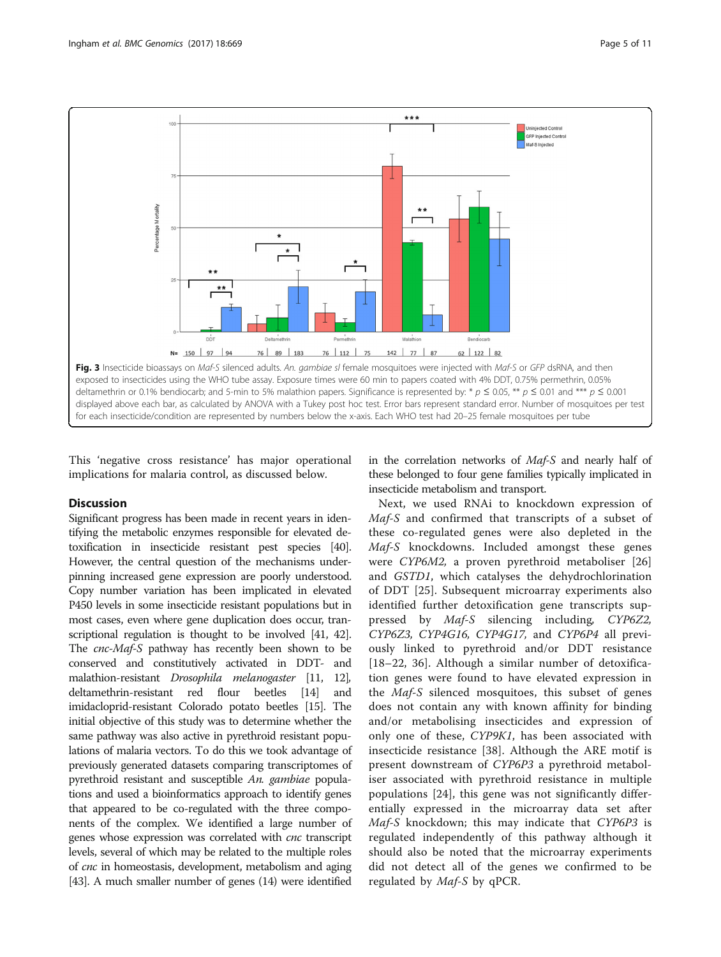<span id="page-4-0"></span>

This 'negative cross resistance' has major operational implications for malaria control, as discussed below.

#### **Discussion**

Significant progress has been made in recent years in identifying the metabolic enzymes responsible for elevated detoxification in insecticide resistant pest species [\[40](#page-9-0)]. However, the central question of the mechanisms underpinning increased gene expression are poorly understood. Copy number variation has been implicated in elevated P450 levels in some insecticide resistant populations but in most cases, even where gene duplication does occur, transcriptional regulation is thought to be involved [[41](#page-9-0), [42](#page-9-0)]. The *cnc-Maf-S* pathway has recently been shown to be conserved and constitutively activated in DDT- and malathion-resistant Drosophila melanogaster [[11](#page-9-0), [12](#page-9-0)], deltamethrin-resistant red flour beetles [\[14\]](#page-9-0) and imidacloprid-resistant Colorado potato beetles [\[15](#page-9-0)]. The initial objective of this study was to determine whether the same pathway was also active in pyrethroid resistant populations of malaria vectors. To do this we took advantage of previously generated datasets comparing transcriptomes of pyrethroid resistant and susceptible An. gambiae populations and used a bioinformatics approach to identify genes that appeared to be co-regulated with the three components of the complex. We identified a large number of genes whose expression was correlated with cnc transcript levels, several of which may be related to the multiple roles of cnc in homeostasis, development, metabolism and aging [[43](#page-9-0)]. A much smaller number of genes (14) were identified

in the correlation networks of Maf-S and nearly half of these belonged to four gene families typically implicated in insecticide metabolism and transport.

Next, we used RNAi to knockdown expression of Maf-S and confirmed that transcripts of a subset of these co-regulated genes were also depleted in the Maf-S knockdowns. Included amongst these genes were CYP6M2, a proven pyrethroid metaboliser [\[26](#page-9-0)] and GSTD1, which catalyses the dehydrochlorination of DDT [[25\]](#page-9-0). Subsequent microarray experiments also identified further detoxification gene transcripts suppressed by Maf-S silencing including, CYP6Z2, CYP6Z3, CYP4G16, CYP4G17, and CYP6P4 all previously linked to pyrethroid and/or DDT resistance [[18](#page-9-0)–[22](#page-9-0), [36\]](#page-9-0). Although a similar number of detoxification genes were found to have elevated expression in the Maf-S silenced mosquitoes, this subset of genes does not contain any with known affinity for binding and/or metabolising insecticides and expression of only one of these, CYP9K1, has been associated with insecticide resistance [\[38](#page-9-0)]. Although the ARE motif is present downstream of CYP6P3 a pyrethroid metaboliser associated with pyrethroid resistance in multiple populations [[24\]](#page-9-0), this gene was not significantly differentially expressed in the microarray data set after Maf-S knockdown; this may indicate that CYP6P3 is regulated independently of this pathway although it should also be noted that the microarray experiments did not detect all of the genes we confirmed to be regulated by Maf-S by qPCR.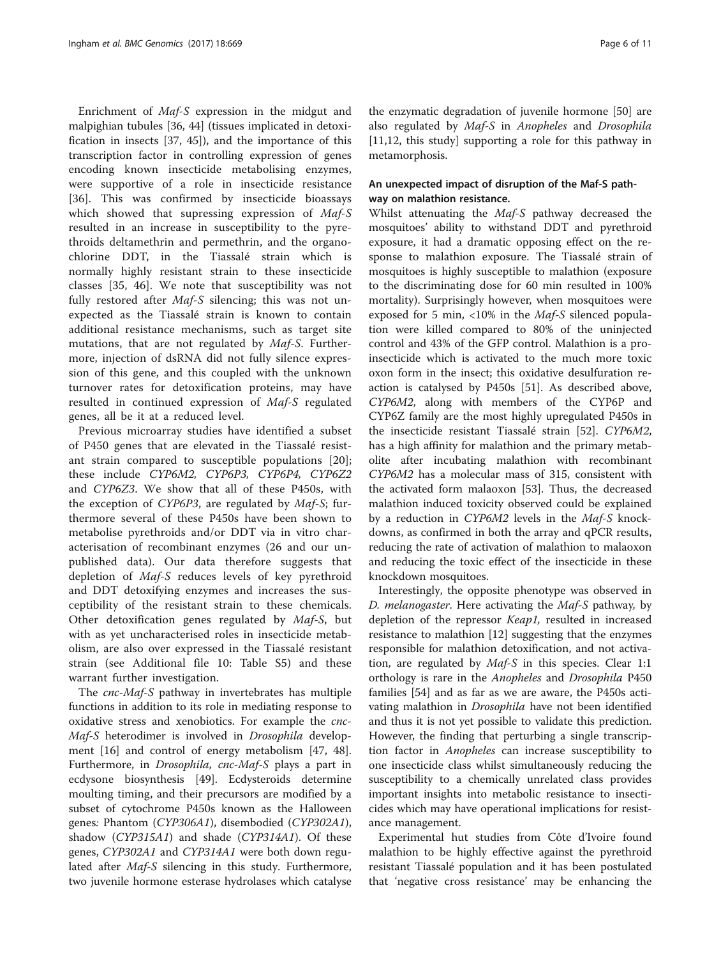Enrichment of Maf-S expression in the midgut and malpighian tubules [[36, 44\]](#page-9-0) (tissues implicated in detoxification in insects [\[37](#page-9-0), [45](#page-9-0)]), and the importance of this transcription factor in controlling expression of genes encoding known insecticide metabolising enzymes, were supportive of a role in insecticide resistance [[36\]](#page-9-0). This was confirmed by insecticide bioassays which showed that supressing expression of Maf-S resulted in an increase in susceptibility to the pyrethroids deltamethrin and permethrin, and the organochlorine DDT, in the Tiassalé strain which is normally highly resistant strain to these insecticide classes [[35](#page-9-0), [46\]](#page-9-0). We note that susceptibility was not fully restored after Maf-S silencing; this was not unexpected as the Tiassalé strain is known to contain additional resistance mechanisms, such as target site mutations, that are not regulated by Maf-S. Furthermore, injection of dsRNA did not fully silence expression of this gene, and this coupled with the unknown turnover rates for detoxification proteins, may have resulted in continued expression of Maf-S regulated genes, all be it at a reduced level.

Previous microarray studies have identified a subset of P450 genes that are elevated in the Tiassalé resistant strain compared to susceptible populations [\[20](#page-9-0)]; these include CYP6M2, CYP6P3, CYP6P4, CYP6Z2 and CYP6Z3. We show that all of these P450s, with the exception of CYP6P3, are regulated by Maf-S; furthermore several of these P450s have been shown to metabolise pyrethroids and/or DDT via in vitro characterisation of recombinant enzymes (26 and our unpublished data). Our data therefore suggests that depletion of Maf-S reduces levels of key pyrethroid and DDT detoxifying enzymes and increases the susceptibility of the resistant strain to these chemicals. Other detoxification genes regulated by Maf-S, but with as yet uncharacterised roles in insecticide metabolism, are also over expressed in the Tiassalé resistant strain (see Additional file [10](#page-8-0): Table S5) and these warrant further investigation.

The cnc-Maf-S pathway in invertebrates has multiple functions in addition to its role in mediating response to oxidative stress and xenobiotics. For example the cnc-Maf-S heterodimer is involved in Drosophila development [[16\]](#page-9-0) and control of energy metabolism [[47](#page-9-0), [48](#page-9-0)]. Furthermore, in Drosophila, cnc-Maf-S plays a part in ecdysone biosynthesis [[49](#page-9-0)]. Ecdysteroids determine moulting timing, and their precursors are modified by a subset of cytochrome P450s known as the Halloween genes: Phantom (CYP306A1), disembodied (CYP302A1), shadow (CYP315A1) and shade (CYP314A1). Of these genes, CYP302A1 and CYP314A1 were both down regulated after *Maf-S* silencing in this study. Furthermore, two juvenile hormone esterase hydrolases which catalyse the enzymatic degradation of juvenile hormone [\[50](#page-9-0)] are also regulated by Maf-S in Anopheles and Drosophila [11,12, this study] supporting a role for this pathway in metamorphosis.

# An unexpected impact of disruption of the Maf-S pathway on malathion resistance.

Whilst attenuating the Maf-S pathway decreased the mosquitoes' ability to withstand DDT and pyrethroid exposure, it had a dramatic opposing effect on the response to malathion exposure. The Tiassalé strain of mosquitoes is highly susceptible to malathion (exposure to the discriminating dose for 60 min resulted in 100% mortality). Surprisingly however, when mosquitoes were exposed for 5 min, <10% in the  $Maf-S$  silenced population were killed compared to 80% of the uninjected control and 43% of the GFP control. Malathion is a proinsecticide which is activated to the much more toxic oxon form in the insect; this oxidative desulfuration reaction is catalysed by P450s [[51\]](#page-9-0). As described above, CYP6M2, along with members of the CYP6P and CYP6Z family are the most highly upregulated P450s in the insecticide resistant Tiassalé strain [\[52](#page-9-0)]. CYP6M2, has a high affinity for malathion and the primary metabolite after incubating malathion with recombinant CYP6M2 has a molecular mass of 315, consistent with the activated form malaoxon [\[53\]](#page-9-0). Thus, the decreased malathion induced toxicity observed could be explained by a reduction in CYP6M2 levels in the Maf-S knockdowns, as confirmed in both the array and qPCR results, reducing the rate of activation of malathion to malaoxon and reducing the toxic effect of the insecticide in these knockdown mosquitoes.

Interestingly, the opposite phenotype was observed in D. melanogaster. Here activating the Maf-S pathway, by depletion of the repressor Keap1, resulted in increased resistance to malathion [[12\]](#page-9-0) suggesting that the enzymes responsible for malathion detoxification, and not activation, are regulated by Maf-S in this species. Clear 1:1 orthology is rare in the Anopheles and Drosophila P450 families [[54\]](#page-9-0) and as far as we are aware, the P450s activating malathion in Drosophila have not been identified and thus it is not yet possible to validate this prediction. However, the finding that perturbing a single transcription factor in Anopheles can increase susceptibility to one insecticide class whilst simultaneously reducing the susceptibility to a chemically unrelated class provides important insights into metabolic resistance to insecticides which may have operational implications for resistance management.

Experimental hut studies from Côte d'Ivoire found malathion to be highly effective against the pyrethroid resistant Tiassalé population and it has been postulated that 'negative cross resistance' may be enhancing the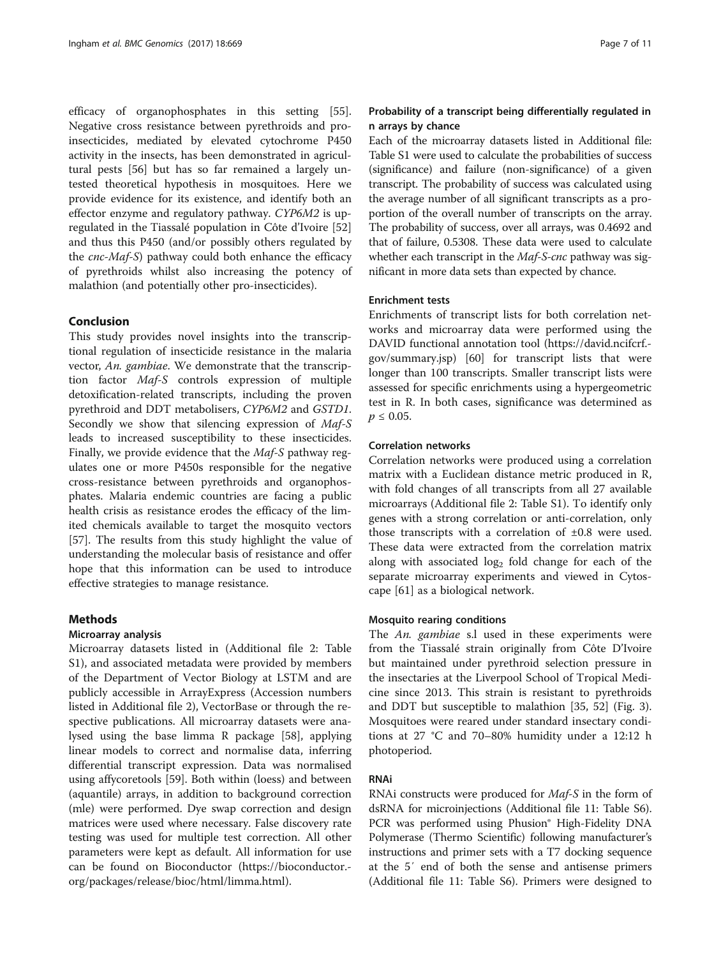efficacy of organophosphates in this setting [\[55](#page-10-0)]. Negative cross resistance between pyrethroids and proinsecticides, mediated by elevated cytochrome P450 activity in the insects, has been demonstrated in agricultural pests [[56\]](#page-10-0) but has so far remained a largely untested theoretical hypothesis in mosquitoes. Here we provide evidence for its existence, and identify both an effector enzyme and regulatory pathway. CYP6M2 is upregulated in the Tiassalé population in Côte d'Ivoire [[52](#page-9-0)] and thus this P450 (and/or possibly others regulated by the cnc-Maf-S) pathway could both enhance the efficacy of pyrethroids whilst also increasing the potency of malathion (and potentially other pro-insecticides).

### Conclusion

This study provides novel insights into the transcriptional regulation of insecticide resistance in the malaria vector, An. gambiae. We demonstrate that the transcription factor Maf-S controls expression of multiple detoxification-related transcripts, including the proven pyrethroid and DDT metabolisers, CYP6M2 and GSTD1. Secondly we show that silencing expression of Maf-S leads to increased susceptibility to these insecticides. Finally, we provide evidence that the Maf-S pathway regulates one or more P450s responsible for the negative cross-resistance between pyrethroids and organophosphates. Malaria endemic countries are facing a public health crisis as resistance erodes the efficacy of the limited chemicals available to target the mosquito vectors [[57\]](#page-10-0). The results from this study highlight the value of understanding the molecular basis of resistance and offer hope that this information can be used to introduce effective strategies to manage resistance.

# **Methods**

#### Microarray analysis

Microarray datasets listed in (Additional file [2:](#page-8-0) Table S1), and associated metadata were provided by members of the Department of Vector Biology at LSTM and are publicly accessible in ArrayExpress (Accession numbers listed in Additional file [2\)](#page-8-0), VectorBase or through the respective publications. All microarray datasets were analysed using the base limma R package [\[58](#page-10-0)], applying linear models to correct and normalise data, inferring differential transcript expression. Data was normalised using affycoretools [[59\]](#page-10-0). Both within (loess) and between (aquantile) arrays, in addition to background correction (mle) were performed. Dye swap correction and design matrices were used where necessary. False discovery rate testing was used for multiple test correction. All other parameters were kept as default. All information for use can be found on Bioconductor [\(https://bioconductor.](https://bioconductor.org/packages/release/bioc/html/limma.html) [org/packages/release/bioc/html/limma.html\)](https://bioconductor.org/packages/release/bioc/html/limma.html).

# Probability of a transcript being differentially regulated in n arrays by chance

Each of the microarray datasets listed in Additional file: Table S1 were used to calculate the probabilities of success (significance) and failure (non-significance) of a given transcript. The probability of success was calculated using the average number of all significant transcripts as a proportion of the overall number of transcripts on the array. The probability of success, over all arrays, was 0.4692 and that of failure, 0.5308. These data were used to calculate whether each transcript in the Maf-S-cnc pathway was significant in more data sets than expected by chance.

#### Enrichment tests

Enrichments of transcript lists for both correlation networks and microarray data were performed using the DAVID functional annotation tool ([https://david.ncifcrf.](https://david.ncifcrf.gov/summary.jsp) [gov/summary.jsp](https://david.ncifcrf.gov/summary.jsp)) [[60](#page-10-0)] for transcript lists that were longer than 100 transcripts. Smaller transcript lists were assessed for specific enrichments using a hypergeometric test in R. In both cases, significance was determined as  $p \le 0.05$ .

### Correlation networks

Correlation networks were produced using a correlation matrix with a Euclidean distance metric produced in R, with fold changes of all transcripts from all 27 available microarrays (Additional file [2](#page-8-0): Table S1). To identify only genes with a strong correlation or anti-correlation, only those transcripts with a correlation of ±0.8 were used. These data were extracted from the correlation matrix along with associated  $log<sub>2</sub>$  fold change for each of the separate microarray experiments and viewed in Cytoscape [\[61](#page-10-0)] as a biological network.

# Mosquito rearing conditions

The An. gambiae s.l used in these experiments were from the Tiassalé strain originally from Côte D'Ivoire but maintained under pyrethroid selection pressure in the insectaries at the Liverpool School of Tropical Medicine since 2013. This strain is resistant to pyrethroids and DDT but susceptible to malathion [\[35](#page-9-0), [52\]](#page-9-0) (Fig. [3](#page-4-0)). Mosquitoes were reared under standard insectary conditions at 27 °C and 70–80% humidity under a 12:12 h photoperiod.

#### RNAi

RNAi constructs were produced for *Maf-S* in the form of dsRNA for microinjections (Additional file [11:](#page-8-0) Table S6). PCR was performed using Phusion® High-Fidelity DNA Polymerase (Thermo Scientific) following manufacturer's instructions and primer sets with a T7 docking sequence at the 5′ end of both the sense and antisense primers (Additional file [11](#page-8-0): Table S6). Primers were designed to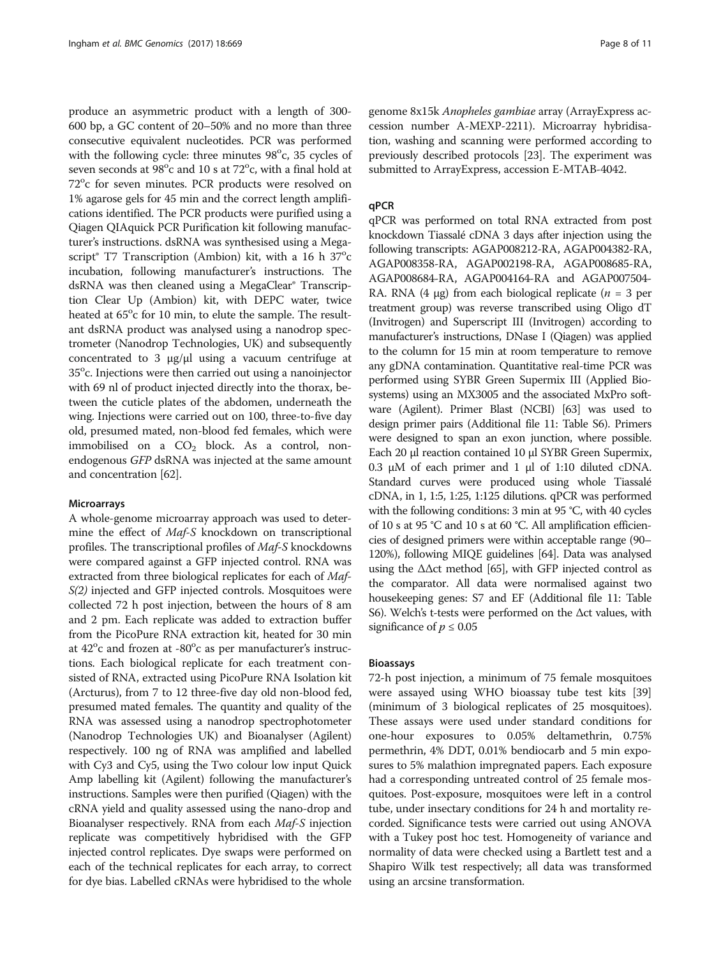produce an asymmetric product with a length of 300- 600 bp, a GC content of 20–50% and no more than three consecutive equivalent nucleotides. PCR was performed with the following cycle: three minutes 98°c, 35 cycles of seven seconds at  $98^{\circ}$ c and 10 s at  $72^{\circ}$ c, with a final hold at 72°c for seven minutes. PCR products were resolved on 1% agarose gels for 45 min and the correct length amplifications identified. The PCR products were purified using a Qiagen QIAquick PCR Purification kit following manufacturer's instructions. dsRNA was synthesised using a Megascript<sup>®</sup> T7 Transcription (Ambion) kit, with a 16 h 37<sup>o</sup>c incubation, following manufacturer's instructions. The dsRNA was then cleaned using a MegaClear® Transcription Clear Up (Ambion) kit, with DEPC water, twice heated at 65°c for 10 min, to elute the sample. The resultant dsRNA product was analysed using a nanodrop spectrometer (Nanodrop Technologies, UK) and subsequently concentrated to 3 μg/μl using a vacuum centrifuge at 35°c. Injections were then carried out using a nanoinjector with 69 nl of product injected directly into the thorax, between the cuticle plates of the abdomen, underneath the wing. Injections were carried out on 100, three-to-five day old, presumed mated, non-blood fed females, which were immobilised on a  $CO<sub>2</sub>$  block. As a control, nonendogenous GFP dsRNA was injected at the same amount and concentration [\[62\]](#page-10-0).

#### **Microarrays**

A whole-genome microarray approach was used to determine the effect of Maf-S knockdown on transcriptional profiles. The transcriptional profiles of Maf-S knockdowns were compared against a GFP injected control. RNA was extracted from three biological replicates for each of *Maf-*S(2) injected and GFP injected controls. Mosquitoes were collected 72 h post injection, between the hours of 8 am and 2 pm. Each replicate was added to extraction buffer from the PicoPure RNA extraction kit, heated for 30 min at  $42^{\circ}$ c and frozen at -80 $^{\circ}$ c as per manufacturer's instructions. Each biological replicate for each treatment consisted of RNA, extracted using PicoPure RNA Isolation kit (Arcturus), from 7 to 12 three-five day old non-blood fed, presumed mated females. The quantity and quality of the RNA was assessed using a nanodrop spectrophotometer (Nanodrop Technologies UK) and Bioanalyser (Agilent) respectively. 100 ng of RNA was amplified and labelled with Cy3 and Cy5, using the Two colour low input Quick Amp labelling kit (Agilent) following the manufacturer's instructions. Samples were then purified (Qiagen) with the cRNA yield and quality assessed using the nano-drop and Bioanalyser respectively. RNA from each Maf-S injection replicate was competitively hybridised with the GFP injected control replicates. Dye swaps were performed on each of the technical replicates for each array, to correct for dye bias. Labelled cRNAs were hybridised to the whole genome 8x15k Anopheles gambiae array (ArrayExpress accession number A-MEXP-2211). Microarray hybridisation, washing and scanning were performed according to previously described protocols [[23](#page-9-0)]. The experiment was submitted to ArrayExpress, accession E-MTAB-4042.

#### qPCR

qPCR was performed on total RNA extracted from post knockdown Tiassalé cDNA 3 days after injection using the following transcripts: AGAP008212-RA, AGAP004382-RA, AGAP008358-RA, AGAP002198-RA, AGAP008685-RA, AGAP008684-RA, AGAP004164-RA and AGAP007504- RA. RNA (4 μg) from each biological replicate ( $n = 3$  per treatment group) was reverse transcribed using Oligo dT (Invitrogen) and Superscript III (Invitrogen) according to manufacturer's instructions, DNase I (Qiagen) was applied to the column for 15 min at room temperature to remove any gDNA contamination. Quantitative real-time PCR was performed using SYBR Green Supermix III (Applied Biosystems) using an MX3005 and the associated MxPro software (Agilent). Primer Blast (NCBI) [\[63\]](#page-10-0) was used to design primer pairs (Additional file [11](#page-8-0): Table S6). Primers were designed to span an exon junction, where possible. Each 20 μl reaction contained 10 μl SYBR Green Supermix, 0.3 μM of each primer and 1 μl of 1:10 diluted cDNA. Standard curves were produced using whole Tiassalé cDNA, in 1, 1:5, 1:25, 1:125 dilutions. qPCR was performed with the following conditions: 3 min at 95 °C, with 40 cycles of 10 s at 95 °C and 10 s at 60 °C. All amplification efficiencies of designed primers were within acceptable range (90– 120%), following MIQE guidelines [\[64\]](#page-10-0). Data was analysed using the  $\Delta \Delta ct$  method [\[65\]](#page-10-0), with GFP injected control as the comparator. All data were normalised against two housekeeping genes: S7 and EF (Additional file [11](#page-8-0): Table S6). Welch's t-tests were performed on the Δct values, with significance of  $p \leq 0.05$ 

#### Bioassays

72-h post injection, a minimum of 75 female mosquitoes were assayed using WHO bioassay tube test kits [[39](#page-9-0)] (minimum of 3 biological replicates of 25 mosquitoes). These assays were used under standard conditions for one-hour exposures to 0.05% deltamethrin, 0.75% permethrin, 4% DDT, 0.01% bendiocarb and 5 min exposures to 5% malathion impregnated papers. Each exposure had a corresponding untreated control of 25 female mosquitoes. Post-exposure, mosquitoes were left in a control tube, under insectary conditions for 24 h and mortality recorded. Significance tests were carried out using ANOVA with a Tukey post hoc test. Homogeneity of variance and normality of data were checked using a Bartlett test and a Shapiro Wilk test respectively; all data was transformed using an arcsine transformation.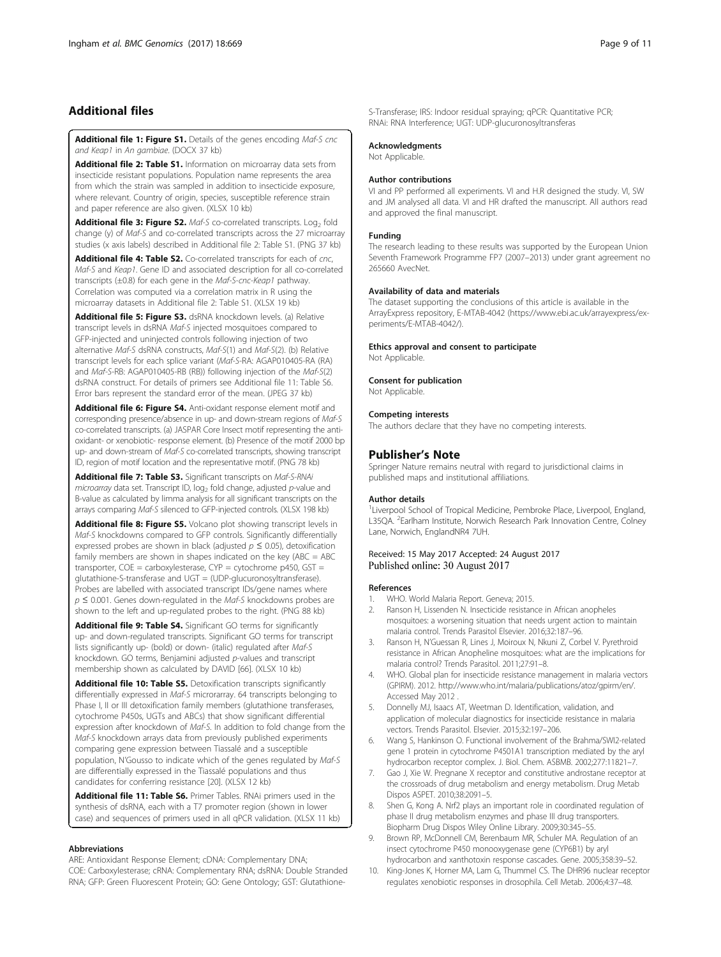# <span id="page-8-0"></span>Additional files

[Additional file 1: Figure S1.](dx.doi.org/10.1186/s12864-017-4086-7) Details of the genes encoding Maf-S cnc and Keap1 in An gambiae. (DOCX 37 kb)

[Additional file 2: Table S1.](dx.doi.org/10.1186/s12864-017-4086-7) Information on microarray data sets from insecticide resistant populations. Population name represents the area from which the strain was sampled in addition to insecticide exposure, where relevant. Country of origin, species, susceptible reference strain and paper reference are also given. (XLSX 10 kb)

[Additional file 3: Figure S2.](dx.doi.org/10.1186/s12864-017-4086-7) Maf-S co-correlated transcripts. Log<sub>2</sub> fold change (y) of Maf-S and co-correlated transcripts across the 27 microarray studies (x axis labels) described in Additional file 2: Table S1. (PNG 37 kb)

[Additional file 4: Table S2.](dx.doi.org/10.1186/s12864-017-4086-7) Co-correlated transcripts for each of cnc, Maf-S and Keap1. Gene ID and associated description for all co-correlated transcripts (±0.8) for each gene in the Maf-S-cnc-Keap1 pathway. Correlation was computed via a correlation matrix in R using the microarray datasets in Additional file 2: Table S1. (XLSX 19 kb)

[Additional file 5: Figure S3.](dx.doi.org/10.1186/s12864-017-4086-7) dsRNA knockdown levels. (a) Relative transcript levels in dsRNA Maf-S injected mosquitoes compared to GFP-injected and uninjected controls following injection of two alternative Maf-S dsRNA constructs, Maf-S(1) and Maf-S(2). (b) Relative transcript levels for each splice variant (Maf-S-RA: AGAP010405-RA (RA) and Maf-S-RB: AGAP010405-RB (RB)) following injection of the Maf-S(2) dsRNA construct. For details of primers see Additional file 11: Table S6. Error bars represent the standard error of the mean. (JPEG 37 kb)

[Additional file 6: Figure S4.](dx.doi.org/10.1186/s12864-017-4086-7) Anti-oxidant response element motif and corresponding presence/absence in up- and down-stream regions of Maf-S co-correlated transcripts. (a) JASPAR Core Insect motif representing the antioxidant- or xenobiotic- response element. (b) Presence of the motif 2000 bp up- and down-stream of Maf-S co-correlated transcripts, showing transcript ID, region of motif location and the representative motif. (PNG 78 kb)

[Additional file 7: Table S3.](dx.doi.org/10.1186/s12864-017-4086-7) Significant transcripts on Maf-S-RNAi microarray data set. Transcript ID,  $log_2$  fold change, adjusted p-value and B-value as calculated by limma analysis for all significant transcripts on the arrays comparing Maf-S silenced to GFP-injected controls. (XLSX 198 kb)

[Additional file 8: Figure S5.](dx.doi.org/10.1186/s12864-017-4086-7) Volcano plot showing transcript levels in Maf-S knockdowns compared to GFP controls. Significantly differentially expressed probes are shown in black (adjusted  $p \leq 0.05$ ), detoxification family members are shown in shapes indicated on the key (ABC = ABC transporter,  $COE =$  carboxylesterase,  $CYP =$  cytochrome p450,  $GST =$ glutathione-S-transferase and UGT = (UDP-glucuronosyltransferase). Probes are labelled with associated transcript IDs/gene names where  $p \leq 0.001$ . Genes down-regulated in the Maf-S knockdowns probes are shown to the left and up-regulated probes to the right. (PNG 88 kb)

[Additional file 9: Table S4.](dx.doi.org/10.1186/s12864-017-4086-7) Significant GO terms for significantly up- and down-regulated transcripts. Significant GO terms for transcript lists significantly up- (bold) or down- (italic) regulated after Maf-S knockdown. GO terms, Benjamini adjusted p-values and transcript membership shown as calculated by DAVID [[66\]](#page-10-0). (XLSX 10 kb)

[Additional file 10: Table S5.](dx.doi.org/10.1186/s12864-017-4086-7) Detoxification transcripts significantly differentially expressed in Maf-S microrarray. 64 transcripts belonging to Phase I, II or III detoxification family members (glutathione transferases, cytochrome P450s, UGTs and ABCs) that show significant differential expression after knockdown of Maf-S. In addition to fold change from the Maf-S knockdown arrays data from previously published experiments comparing gene expression between Tiassalé and a susceptible population, N'Gousso to indicate which of the genes regulated by Maf-S are differentially expressed in the Tiassalé populations and thus candidates for conferring resistance [\[20\]](#page-9-0). (XLSX 12 kb)

[Additional file 11: Table S6.](dx.doi.org/10.1186/s12864-017-4086-7) Primer Tables. RNAi primers used in the synthesis of dsRNA, each with a T7 promoter region (shown in lower case) and sequences of primers used in all qPCR validation. (XLSX 11 kb)

#### Abbreviations

ARE: Antioxidant Response Element; cDNA: Complementary DNA; COE: Carboxylesterase; cRNA: Complementary RNA; dsRNA: Double Stranded RNA; GFP: Green Fluorescent Protein; GO: Gene Ontology; GST: Glutathione-

S-Transferase; IRS: Indoor residual spraying; qPCR: Quantitative PCR; RNAi: RNA Interference; UGT: UDP-glucuronosyltransferas

#### Acknowledgments

Not Applicable.

#### Author contributions

VI and PP performed all experiments. VI and H.R designed the study. VI, SW and JM analysed all data. VI and HR drafted the manuscript. All authors read and approved the final manuscript.

#### Funding

The research leading to these results was supported by the European Union Seventh Framework Programme FP7 (2007–2013) under grant agreement no 265660 AvecNet.

#### Availability of data and materials

The dataset supporting the conclusions of this article is available in the ArrayExpress repository, E-MTAB-4042 ([https://www.ebi.ac.uk/arrayexpress/ex](https://www.ebi.ac.uk/arrayexpress/experiments/E-MTAB-4042/)[periments/E-MTAB-4042/\)](https://www.ebi.ac.uk/arrayexpress/experiments/E-MTAB-4042/).

#### Ethics approval and consent to participate

Not Applicable.

#### Consent for publication

Not Applicable.

#### Competing interests

The authors declare that they have no competing interests.

#### Publisher's Note

Springer Nature remains neutral with regard to jurisdictional claims in published maps and institutional affiliations.

#### Author details

<sup>1</sup> Liverpool School of Tropical Medicine, Pembroke Place, Liverpool, England L35QA. <sup>2</sup>Earlham Institute, Norwich Research Park Innovation Centre, Colney Lane, Norwich, EnglandNR4 7UH.

#### Received: 15 May 2017 Accepted: 24 August 2017 Published online: 30 August 2017

#### References

- 1. WHO. World Malaria Report. Geneva; 2015.
- 2. Ranson H, Lissenden N. Insecticide resistance in African anopheles mosquitoes: a worsening situation that needs urgent action to maintain malaria control. Trends Parasitol Elsevier. 2016;32:187–96.
- 3. Ranson H, N'Guessan R, Lines J, Moiroux N, Nkuni Z, Corbel V. Pyrethroid resistance in African Anopheline mosquitoes: what are the implications for malaria control? Trends Parasitol. 2011;27:91–8.
- 4. WHO. Global plan for insecticide resistance management in malaria vectors (GPIRM). 2012. [http://www.who.int/malaria/publications/atoz/gpirm/en/.](http://www.who.int/malaria/publications/atoz/gpirm/en) Accessed May 2012 .
- 5. Donnelly MJ, Isaacs AT, Weetman D. Identification, validation, and application of molecular diagnostics for insecticide resistance in malaria vectors. Trends Parasitol. Elsevier. 2015;32:197–206.
- 6. Wang S, Hankinson O. Functional involvement of the Brahma/SWI2-related gene 1 protein in cytochrome P4501A1 transcription mediated by the aryl hydrocarbon receptor complex. J. Biol. Chem. ASBMB. 2002;277:11821–7.
- 7. Gao J, Xie W. Pregnane X receptor and constitutive androstane receptor at the crossroads of drug metabolism and energy metabolism. Drug Metab Dispos ASPET. 2010;38:2091–5.
- 8. Shen G, Kong A. Nrf2 plays an important role in coordinated regulation of phase II drug metabolism enzymes and phase III drug transporters. Biopharm Drug Dispos Wiley Online Library. 2009;30:345–55.
- 9. Brown RP, McDonnell CM, Berenbaum MR, Schuler MA. Regulation of an insect cytochrome P450 monooxygenase gene (CYP6B1) by aryl hydrocarbon and xanthotoxin response cascades. Gene. 2005;358:39–52.
- 10. King-Jones K, Horner MA, Lam G, Thummel CS. The DHR96 nuclear receptor regulates xenobiotic responses in drosophila. Cell Metab. 2006;4:37–48.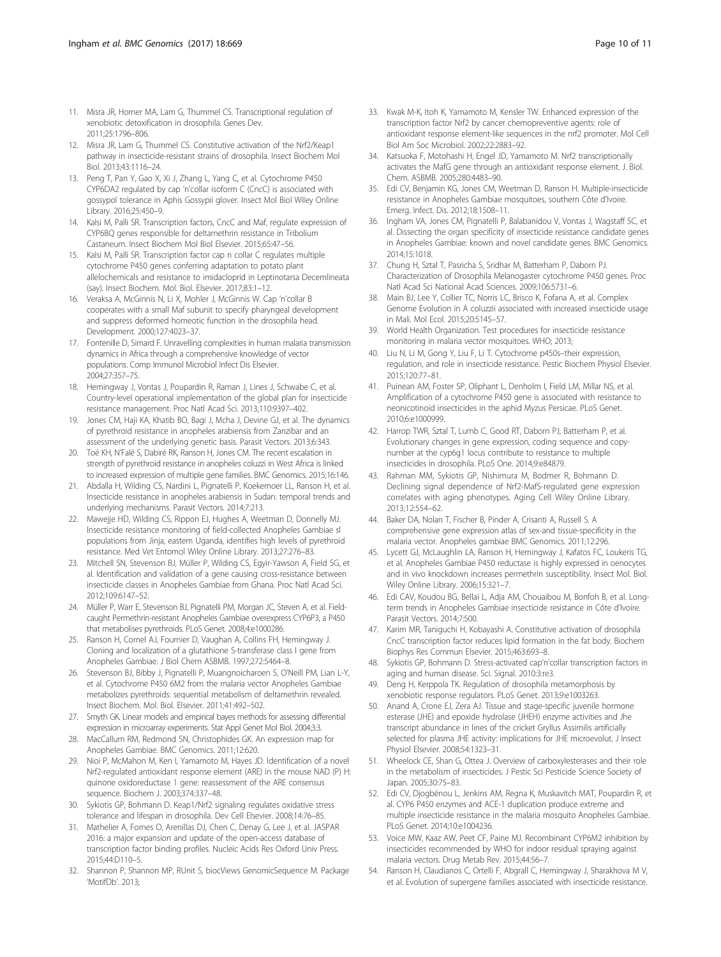- <span id="page-9-0"></span>11. Misra JR, Horner MA, Lam G, Thummel CS. Transcriptional regulation of xenobiotic detoxification in drosophila. Genes Dev. 2011;25:1796–806.
- 12. Misra JR, Lam G, Thummel CS. Constitutive activation of the Nrf2/Keap1 pathway in insecticide-resistant strains of drosophila. Insect Biochem Mol Biol. 2013;43:1116–24.
- 13. Peng T, Pan Y, Gao X, Xi J, Zhang L, Yang C, et al. Cytochrome P450 CYP6DA2 regulated by cap 'n'collar isoform C (CncC) is associated with gossypol tolerance in Aphis Gossypii glover. Insect Mol Biol Wiley Online Library. 2016;25:450–9.
- 14. Kalsi M, Palli SR. Transcription factors, CncC and Maf, regulate expression of CYP6BQ genes responsible for deltamethrin resistance in Tribolium Castaneum. Insect Biochem Mol Biol Elsevier. 2015;65:47–56.
- 15. Kalsi M, Palli SR. Transcription factor cap n collar C regulates multiple cytochrome P450 genes conferring adaptation to potato plant allelochemicals and resistance to imidacloprid in Leptinotarsa Decemlineata (say). Insect Biochem. Mol. Biol. Elsevier. 2017;83:1–12.
- 16. Veraksa A, McGinnis N, Li X, Mohler J, McGinnis W. Cap 'n'collar B cooperates with a small Maf subunit to specify pharyngeal development and suppress deformed homeotic function in the drosophila head. Development. 2000;127:4023–37.
- 17. Fontenille D, Simard F. Unravelling complexities in human malaria transmission dynamics in Africa through a comprehensive knowledge of vector populations. Comp Immunol Microbiol Infect Dis Elsevier. 2004;27:357–75.
- 18. Hemingway J, Vontas J, Poupardin R, Raman J, Lines J, Schwabe C, et al. Country-level operational implementation of the global plan for insecticide resistance management. Proc Natl Acad Sci. 2013;110:9397–402.
- 19. Jones CM, Haji KA, Khatib BO, Bagi J, Mcha J, Devine GJ, et al. The dynamics of pyrethroid resistance in anopheles arabiensis from Zanzibar and an assessment of the underlying genetic basis. Parasit Vectors. 2013;6:343.
- 20. Toé KH, N'Falé S, Dabiré RK, Ranson H, Jones CM. The recent escalation in strength of pyrethroid resistance in anopheles coluzzi in West Africa is linked to increased expression of multiple gene families. BMC Genomics. 2015;16:146.
- 21. Abdalla H, Wilding CS, Nardini L, Pignatelli P, Koekemoer LL, Ranson H, et al. Insecticide resistance in anopheles arabiensis in Sudan: temporal trends and underlying mechanisms. Parasit Vectors. 2014;7:213.
- 22. Mawejje HD, Wilding CS, Rippon EJ, Hughes A, Weetman D, Donnelly MJ. Insecticide resistance monitoring of field-collected Anopheles Gambiae sl populations from Jinja, eastern Uganda, identifies high levels of pyrethroid resistance. Med Vet Entomol Wiley Online Library. 2013;27:276–83.
- 23. Mitchell SN, Stevenson BJ, Müller P, Wilding CS, Egyir-Yawson A, Field SG, et al. Identification and validation of a gene causing cross-resistance between insecticide classes in Anopheles Gambiae from Ghana. Proc Natl Acad Sci. 2012;109:6147–52.
- 24. Müller P, Warr E, Stevenson BJ, Pignatelli PM, Morgan JC, Steven A, et al. Fieldcaught Permethrin-resistant Anopheles Gambiae overexpress CYP6P3, a P450 that metabolises pyrethroids. PLoS Genet. 2008;4:e1000286.
- 25. Ranson H, Cornel AJ, Fournier D, Vaughan A, Collins FH, Hemingway J. Cloning and localization of a glutathione S-transferase class I gene from Anopheles Gambiae. J Biol Chem ASBMB. 1997;272:5464–8.
- 26. Stevenson BJ, Bibby J, Pignatelli P, Muangnoicharoen S, O'Neill PM, Lian L-Y, et al. Cytochrome P450 6M2 from the malaria vector Anopheles Gambiae metabolizes pyrethroids: sequential metabolism of deltamethrin revealed. Insect Biochem. Mol. Biol. Elsevier. 2011;41:492–502.
- 27. Smyth GK. Linear models and empirical bayes methods for assessing differential expression in microarray experiments. Stat Appl Genet Mol Biol. 2004;3:3.
- 28. MacCallum RM, Redmond SN, Christophides GK. An expression map for Anopheles Gambiae. BMC Genomics. 2011;12:620.
- 29. Nioi P, McMahon M, Ken I, Yamamoto M, Hayes JD. Identification of a novel Nrf2-regulated antioxidant response element (ARE) in the mouse NAD (P) H: quinone oxidoreductase 1 gene: reassessment of the ARE consensus sequence. Biochem J. 2003;374:337–48.
- 30. Sykiotis GP, Bohmann D. Keap1/Nrf2 signaling regulates oxidative stress tolerance and lifespan in drosophila. Dev Cell Elsevier. 2008;14:76–85.
- 31. Mathelier A, Fornes O, Arenillas DJ, Chen C, Denay G, Lee J, et al. JASPAR 2016: a major expansion and update of the open-access database of transcription factor binding profiles. Nucleic Acids Res Oxford Univ Press. 2015;44:D110–5.
- 32. Shannon P, Shannon MP, RUnit S, biocViews GenomicSequence M. Package 'MotifDb'. 2013;
- 33. Kwak M-K, Itoh K, Yamamoto M, Kensler TW. Enhanced expression of the transcription factor Nrf2 by cancer chemopreventive agents: role of antioxidant response element-like sequences in the nrf2 promoter. Mol Cell Biol Am Soc Microbiol. 2002;22:2883–92.
- 34. Katsuoka F, Motohashi H, Engel JD, Yamamoto M. Nrf2 transcriptionally activates the MafG gene through an antioxidant response element. J. Biol. Chem. ASBMB. 2005;280:4483–90.
- 35. Edi CV, Benjamin KG, Jones CM, Weetman D, Ranson H. Multiple-insecticide resistance in Anopheles Gambiae mosquitoes, southern Côte d'Ivoire. Emerg. Infect. Dis. 2012;18:1508–11.
- 36. Ingham VA, Jones CM, Pignatelli P, Balabanidou V, Vontas J, Wagstaff SC, et al. Dissecting the organ specificity of insecticide resistance candidate genes in Anopheles Gambiae: known and novel candidate genes. BMC Genomics. 2014;15:1018.
- 37. Chung H, Sztal T, Pasricha S, Sridhar M, Batterham P, Daborn PJ. Characterization of Drosophila Melanogaster cytochrome P450 genes. Proc Natl Acad Sci National Acad Sciences. 2009;106:5731–6.
- 38. Main BJ, Lee Y, Collier TC, Norris LC, Brisco K, Fofana A, et al. Complex Genome Evolution in A coluzzii associated with increased insecticide usage in Mali. Mol Ecol. 2015;20:5145–57.
- 39. World Health Organization. Test procedures for insecticide resistance monitoring in malaria vector mosquitoes. WHO; 2013;
- 40. Liu N, Li M, Gong Y, Liu F, Li T. Cytochrome p450s–their expression, regulation, and role in insecticide resistance. Pestic Biochem Physiol Elsevier. 2015;120:77–81.
- 41. Puinean AM, Foster SP, Oliphant L, Denholm I, Field LM, Millar NS, et al. Amplification of a cytochrome P450 gene is associated with resistance to neonicotinoid insecticides in the aphid Myzus Persicae. PLoS Genet. 2010;6:e1000999.
- 42. Harrop TWR, Sztal T, Lumb C, Good RT, Daborn PJ, Batterham P, et al. Evolutionary changes in gene expression, coding sequence and copynumber at the cyp6g1 locus contribute to resistance to multiple insecticides in drosophila. PLoS One. 2014;9:e84879.
- 43. Rahman MM, Sykiotis GP, Nishimura M, Bodmer R, Bohmann D. Declining signal dependence of Nrf2-MafS-regulated gene expression correlates with aging phenotypes. Aging Cell Wiley Online Library. 2013;12:554–62.
- 44. Baker DA, Nolan T, Fischer B, Pinder A, Crisanti A, Russell S. A comprehensive gene expression atlas of sex-and tissue-specificity in the malaria vector. Anopheles gambiae BMC Genomics. 2011;12:296.
- 45. Lycett GJ, McLaughlin LA, Ranson H, Hemingway J, Kafatos FC, Loukeris TG, et al. Anopheles Gambiae P450 reductase is highly expressed in oenocytes and in vivo knockdown increases permethrin susceptibility. Insect Mol. Biol. Wiley Online Library. 2006;15:321–7.
- 46. Edi CAV, Koudou BG, Bellai L, Adja AM, Chouaibou M, Bonfoh B, et al. Longterm trends in Anopheles Gambiae insecticide resistance in Côte d'Ivoire. Parasit Vectors. 2014;7:500.
- 47. Karim MR, Taniguchi H, Kobayashi A. Constitutive activation of drosophila CncC transcription factor reduces lipid formation in the fat body. Biochem Biophys Res Commun Elsevier. 2015;463:693–8.
- 48. Sykiotis GP, Bohmann D. Stress-activated cap'n'collar transcription factors in aging and human disease. Sci. Signal. 2010:3:re3.
- 49. Deng H, Kerppola TK. Regulation of drosophila metamorphosis by xenobiotic response regulators. PLoS Genet. 2013;9:e1003263.
- 50. Anand A, Crone EJ, Zera AJ. Tissue and stage-specific juvenile hormone esterase (JHE) and epoxide hydrolase (JHEH) enzyme activities and Jhe transcript abundance in lines of the cricket Gryllus Assimilis artificially selected for plasma JHE activity: implications for JHE microevolut. J Insect Physiol Elsevier. 2008;54:1323–31.
- 51. Wheelock CE, Shan G, Ottea J. Overview of carboxylesterases and their role in the metabolism of insecticides. J Pestic Sci Pesticide Science Society of Japan. 2005;30:75–83.
- 52. Edi CV, Djogbénou L, Jenkins AM, Regna K, Muskavitch MAT, Poupardin R, et al. CYP6 P450 enzymes and ACE-1 duplication produce extreme and multiple insecticide resistance in the malaria mosquito Anopheles Gambiae. PLoS Genet. 2014;10:e1004236.
- 53. Voice MW, Kaaz AW, Peet CF, Paine MJ. Recombinant CYP6M2 inhibition by insecticides recommended by WHO for indoor residual spraying against malaria vectors. Drug Metab Rev. 2015;44:56–7.
- 54. Ranson H, Claudianos C, Ortelli F, Abgrall C, Hemingway J, Sharakhova M V, et al. Evolution of supergene families associated with insecticide resistance.